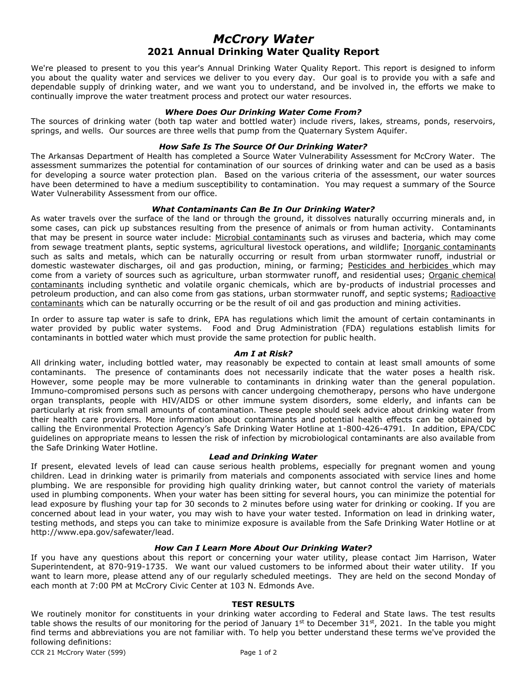# *McCrory Water* **2021 Annual Drinking Water Quality Report**

We're pleased to present to you this year's Annual Drinking Water Quality Report. This report is designed to inform you about the quality water and services we deliver to you every day. Our goal is to provide you with a safe and dependable supply of drinking water, and we want you to understand, and be involved in, the efforts we make to continually improve the water treatment process and protect our water resources.

#### *Where Does Our Drinking Water Come From?*

The sources of drinking water (both tap water and bottled water) include rivers, lakes, streams, ponds, reservoirs, springs, and wells. Our sources are three wells that pump from the Quaternary System Aquifer.

## *How Safe Is The Source Of Our Drinking Water?*

The Arkansas Department of Health has completed a Source Water Vulnerability Assessment for McCrory Water. The assessment summarizes the potential for contamination of our sources of drinking water and can be used as a basis for developing a source water protection plan. Based on the various criteria of the assessment, our water sources have been determined to have a medium susceptibility to contamination. You may request a summary of the Source Water Vulnerability Assessment from our office.

#### *What Contaminants Can Be In Our Drinking Water?*

As water travels over the surface of the land or through the ground, it dissolves naturally occurring minerals and, in some cases, can pick up substances resulting from the presence of animals or from human activity. Contaminants that may be present in source water include: Microbial contaminants such as viruses and bacteria, which may come from sewage treatment plants, septic systems, agricultural livestock operations, and wildlife; Inorganic contaminants such as salts and metals, which can be naturally occurring or result from urban stormwater runoff, industrial or domestic wastewater discharges, oil and gas production, mining, or farming; Pesticides and herbicides which may come from a variety of sources such as agriculture, urban stormwater runoff, and residential uses; Organic chemical contaminants including synthetic and volatile organic chemicals, which are by-products of industrial processes and petroleum production, and can also come from gas stations, urban stormwater runoff, and septic systems; Radioactive contaminants which can be naturally occurring or be the result of oil and gas production and mining activities.

In order to assure tap water is safe to drink, EPA has regulations which limit the amount of certain contaminants in water provided by public water systems. Food and Drug Administration (FDA) regulations establish limits for contaminants in bottled water which must provide the same protection for public health.

#### *Am I at Risk?*

All drinking water, including bottled water, may reasonably be expected to contain at least small amounts of some contaminants. The presence of contaminants does not necessarily indicate that the water poses a health risk. However, some people may be more vulnerable to contaminants in drinking water than the general population. Immuno-compromised persons such as persons with cancer undergoing chemotherapy, persons who have undergone organ transplants, people with HIV/AIDS or other immune system disorders, some elderly, and infants can be particularly at risk from small amounts of contamination. These people should seek advice about drinking water from their health care providers. More information about contaminants and potential health effects can be obtained by calling the Environmental Protection Agency's Safe Drinking Water Hotline at 1-800-426-4791. In addition, EPA/CDC guidelines on appropriate means to lessen the risk of infection by microbiological contaminants are also available from the Safe Drinking Water Hotline.

#### *Lead and Drinking Water*

If present, elevated levels of lead can cause serious health problems, especially for pregnant women and young children. Lead in drinking water is primarily from materials and components associated with service lines and home plumbing. We are responsible for providing high quality drinking water, but cannot control the variety of materials used in plumbing components. When your water has been sitting for several hours, you can minimize the potential for lead exposure by flushing your tap for 30 seconds to 2 minutes before using water for drinking or cooking. If you are concerned about lead in your water, you may wish to have your water tested. Information on lead in drinking water, testing methods, and steps you can take to minimize exposure is available from the Safe Drinking Water Hotline or at http://www.epa.gov/safewater/lead.

## *How Can I Learn More About Our Drinking Water?*

If you have any questions about this report or concerning your water utility, please contact Jim Harrison, Water Superintendent, at 870-919-1735. We want our valued customers to be informed about their water utility. If you want to learn more, please attend any of our regularly scheduled meetings. They are held on the second Monday of each month at 7:00 PM at McCrory Civic Center at 103 N. Edmonds Ave.

### **TEST RESULTS**

We routinely monitor for constituents in your drinking water according to Federal and State laws. The test results table shows the results of our monitoring for the period of January 1<sup>st</sup> to December 31st, 2021. In the table you might find terms and abbreviations you are not familiar with. To help you better understand these terms we've provided the following definitions: